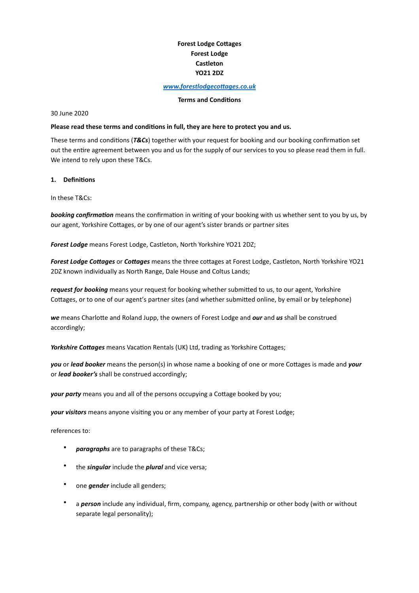# **Forest Lodge Cottages Forest Lodge Castleton YO21 2DZ**

#### www.forestlodgecottages.co.uk

#### **Terms** and **Conditions**

30 June 2020 

### Please read these terms and conditions in full, they are here to protect you and us.

These terms and conditions (T&Cs) together with your request for booking and our booking confirmation set out the entire agreement between you and us for the supply of our services to you so please read them in full. We intend to rely upon these T&Cs.

#### 1. **Definitions**

In these T&Cs:

**booking confirmation** means the confirmation in writing of your booking with us whether sent to you by us, by our agent, Yorkshire Cottages, or by one of our agent's sister brands or partner sites

**Forest Lodge** means Forest Lodge, Castleton, North Yorkshire YO21 2DZ;

*Forest Lodge Cottages* or *Cottages* means the three cottages at Forest Lodge, Castleton, North Yorkshire YO21 2DZ known individually as North Range, Dale House and Coltus Lands;

*request for booking* means your request for booking whether submitted to us, to our agent, Yorkshire Cottages, or to one of our agent's partner sites (and whether submitted online, by email or by telephone)

**we** means Charlotte and Roland Jupp, the owners of Forest Lodge and **our** and **us** shall be construed accordingly; 

*Yorkshire Cottages* means Vacation Rentals (UK) Ltd, trading as Yorkshire Cottages;

*you* or *lead booker* means the person(s) in whose name a booking of one or more Cottages is made and *your* or *lead booker's* shall be construed accordingly;

*your party* means you and all of the persons occupying a Cottage booked by you;

**your visitors** means anyone visiting you or any member of your party at Forest Lodge;

references to:

- paragraphs are to paragraphs of these T&Cs;
- the *singular* include the *plural* and vice versa;
- one *gender* include all genders;
- a **person** include any individual, firm, company, agency, partnership or other body (with or without separate legal personality);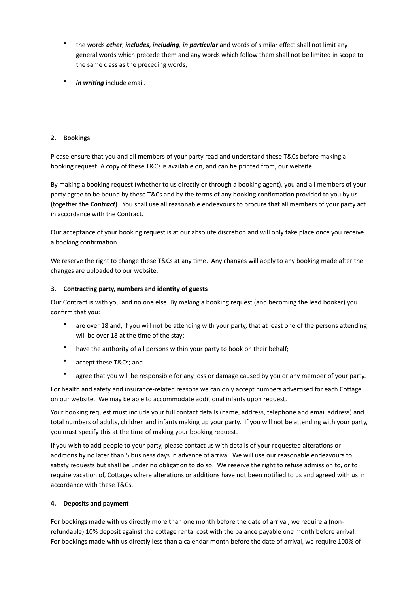- the words *other, includes, including, in particular* and words of similar effect shall not limit any general words which precede them and any words which follow them shall not be limited in scope to the same class as the preceding words;
- *in writing* include email.

## 2. **Bookings**

Please ensure that you and all members of your party read and understand these T&Cs before making a booking request. A copy of these T&Cs is available on, and can be printed from, our website.

By making a booking request (whether to us directly or through a booking agent), you and all members of your party agree to be bound by these T&Cs and by the terms of any booking confirmation provided to you by us (together the **Contract**). You shall use all reasonable endeavours to procure that all members of your party act in accordance with the Contract.

Our acceptance of your booking request is at our absolute discretion and will only take place once you receive a booking confirmation.

We reserve the right to change these T&Cs at any time. Any changes will apply to any booking made after the changes are uploaded to our website.

### **3.** Contracting party, numbers and identity of guests

Our Contract is with you and no one else. By making a booking request (and becoming the lead booker) you confirm that you:

- are over 18 and, if you will not be attending with your party, that at least one of the persons attending will be over 18 at the time of the stay;
- have the authority of all persons within your party to book on their behalf;
- accept these T&Cs: and
- agree that you will be responsible for any loss or damage caused by you or any member of your party.

For health and safety and insurance-related reasons we can only accept numbers advertised for each Cottage on our website. We may be able to accommodate additional infants upon request.

Your booking request must include your full contact details (name, address, telephone and email address) and total numbers of adults, children and infants making up your party. If you will not be attending with your party, you must specify this at the time of making your booking request.

If you wish to add people to your party, please contact us with details of your requested alterations or additions by no later than 5 business days in advance of arrival. We will use our reasonable endeavours to satisfy requests but shall be under no obligation to do so. We reserve the right to refuse admission to, or to require vacation of, Cottages where alterations or additions have not been notified to us and agreed with us in accordance with these T&Cs.

# **4.** Deposits and payment

For bookings made with us directly more than one month before the date of arrival, we require a (nonrefundable) 10% deposit against the cottage rental cost with the balance payable one month before arrival. For bookings made with us directly less than a calendar month before the date of arrival, we require 100% of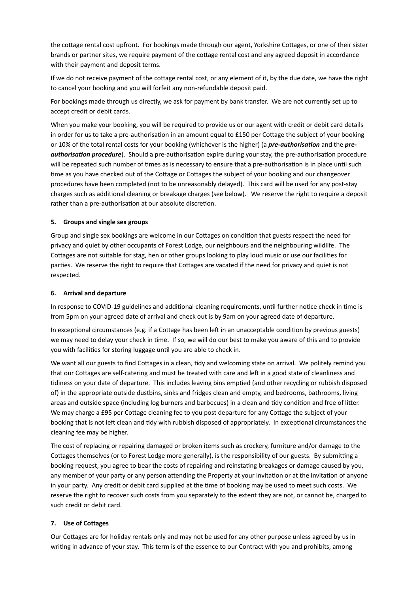the cottage rental cost upfront. For bookings made through our agent, Yorkshire Cottages, or one of their sister brands or partner sites, we require payment of the cottage rental cost and any agreed deposit in accordance with their payment and deposit terms.

If we do not receive payment of the cottage rental cost, or any element of it, by the due date, we have the right to cancel your booking and you will forfeit any non-refundable deposit paid.

For bookings made through us directly, we ask for payment by bank transfer. We are not currently set up to accept credit or debit cards.

When you make your booking, you will be required to provide us or our agent with credit or debit card details in order for us to take a pre-authorisation in an amount equal to £150 per Cottage the subject of your booking or 10% of the total rental costs for your booking (whichever is the higher) (a *pre-authorisation* and the *preauthorisation procedure*). Should a pre-authorisation expire during your stay, the pre-authorisation procedure will be repeated such number of times as is necessary to ensure that a pre-authorisation is in place until such time as you have checked out of the Cottage or Cottages the subject of your booking and our changeover procedures have been completed (not to be unreasonably delayed). This card will be used for any post-stay charges such as additional cleaning or breakage charges (see below). We reserve the right to require a deposit rather than a pre-authorisation at our absolute discretion.

### **5.** Groups and single sex groups

Group and single sex bookings are welcome in our Cottages on condition that guests respect the need for privacy and quiet by other occupants of Forest Lodge, our neighbours and the neighbouring wildlife. The Cottages are not suitable for stag, hen or other groups looking to play loud music or use our facilities for parties. We reserve the right to require that Cottages are vacated if the need for privacy and quiet is not respected. 

### **6.** Arrival and departure

In response to COVID-19 guidelines and additional cleaning requirements, until further notice check in time is from 5pm on your agreed date of arrival and check out is by 9am on your agreed date of departure.

In exceptional circumstances (e.g. if a Cottage has been left in an unacceptable condition by previous guests) we may need to delay your check in time. If so, we will do our best to make you aware of this and to provide you with facilities for storing luggage until you are able to check in.

We want all our guests to find Cottages in a clean, tidy and welcoming state on arrival. We politely remind you that our Cottages are self-catering and must be treated with care and left in a good state of cleanliness and tidiness on your date of departure. This includes leaving bins emptied (and other recycling or rubbish disposed of) in the appropriate outside dustbins, sinks and fridges clean and empty, and bedrooms, bathrooms, living areas and outside space (including log burners and barbecues) in a clean and tidy condition and free of litter. We may charge a £95 per Cottage cleaning fee to you post departure for any Cottage the subject of your booking that is not left clean and tidy with rubbish disposed of appropriately. In exceptional circumstances the cleaning fee may be higher.

The cost of replacing or repairing damaged or broken items such as crockery, furniture and/or damage to the Cottages themselves (or to Forest Lodge more generally), is the responsibility of our guests. By submitting a booking request, you agree to bear the costs of repairing and reinstating breakages or damage caused by you, any member of your party or any person attending the Property at your invitation or at the invitation of anyone in your party. Any credit or debit card supplied at the time of booking may be used to meet such costs. We reserve the right to recover such costs from you separately to the extent they are not, or cannot be, charged to such credit or debit card.

### **7.** Use of Cottages

Our Cottages are for holiday rentals only and may not be used for any other purpose unless agreed by us in writing in advance of your stay. This term is of the essence to our Contract with you and prohibits, among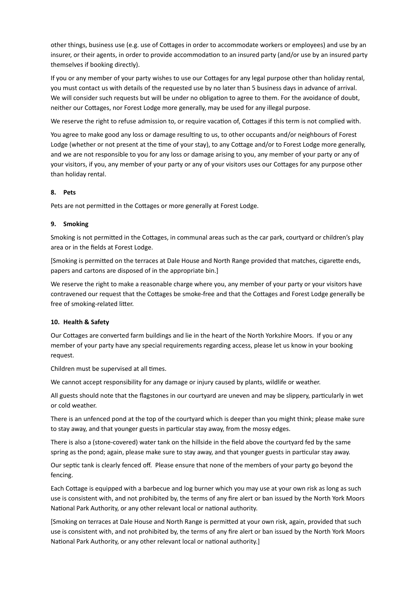other things, business use (e.g. use of Cottages in order to accommodate workers or employees) and use by an insurer, or their agents, in order to provide accommodation to an insured party (and/or use by an insured party themselves if booking directly).

If you or any member of your party wishes to use our Cottages for any legal purpose other than holiday rental, you must contact us with details of the requested use by no later than 5 business days in advance of arrival. We will consider such requests but will be under no obligation to agree to them. For the avoidance of doubt, neither our Cottages, nor Forest Lodge more generally, may be used for any illegal purpose.

We reserve the right to refuse admission to, or require vacation of, Cottages if this term is not complied with.

You agree to make good any loss or damage resulting to us, to other occupants and/or neighbours of Forest Lodge (whether or not present at the time of your stay), to any Cottage and/or to Forest Lodge more generally, and we are not responsible to you for any loss or damage arising to you, any member of your party or any of your visitors, if you, any member of your party or any of your visitors uses our Cottages for any purpose other than holiday rental.

### **8. Pets**

Pets are not permitted in the Cottages or more generally at Forest Lodge.

# **9.** Smoking

Smoking is not permitted in the Cottages, in communal areas such as the car park, courtyard or children's play area or in the fields at Forest Lodge.

[Smoking is permitted on the terraces at Dale House and North Range provided that matches, cigarette ends, papers and cartons are disposed of in the appropriate bin.]

We reserve the right to make a reasonable charge where you, any member of your party or your visitors have contravened our request that the Cottages be smoke-free and that the Cottages and Forest Lodge generally be free of smoking-related litter.

### **10. Health & Safety**

Our Cottages are converted farm buildings and lie in the heart of the North Yorkshire Moors. If you or any member of your party have any special requirements regarding access, please let us know in your booking request. 

Children must be supervised at all times.

We cannot accept responsibility for any damage or injury caused by plants, wildlife or weather.

All guests should note that the flagstones in our courtyard are uneven and may be slippery, particularly in wet or cold weather.

There is an unfenced pond at the top of the courtyard which is deeper than you might think; please make sure to stay away, and that younger guests in particular stay away, from the mossy edges.

There is also a (stone-covered) water tank on the hillside in the field above the courtyard fed by the same spring as the pond; again, please make sure to stay away, and that younger guests in particular stay away.

Our septic tank is clearly fenced off. Please ensure that none of the members of your party go beyond the fencing. 

Each Cottage is equipped with a barbecue and log burner which you may use at your own risk as long as such use is consistent with, and not prohibited by, the terms of any fire alert or ban issued by the North York Moors National Park Authority, or any other relevant local or national authority.

[Smoking on terraces at Dale House and North Range is permitted at your own risk, again, provided that such use is consistent with, and not prohibited by, the terms of any fire alert or ban issued by the North York Moors National Park Authority, or any other relevant local or national authority.]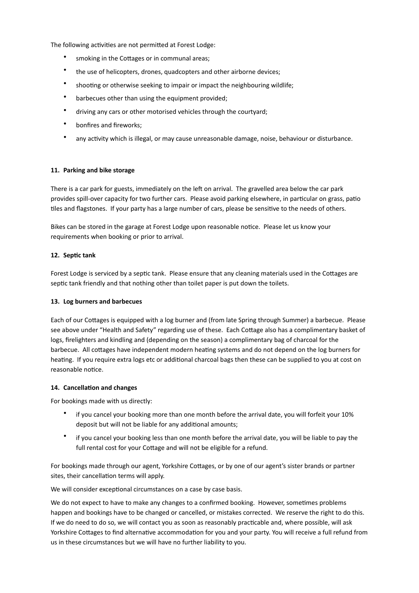The following activities are not permitted at Forest Lodge:

- smoking in the Cottages or in communal areas;
- the use of helicopters, drones, quadcopters and other airborne devices;
- shooting or otherwise seeking to impair or impact the neighbouring wildlife;
- barbecues other than using the equipment provided;
- driving any cars or other motorised vehicles through the courtyard;
- bonfires and fireworks;
- any activity which is illegal, or may cause unreasonable damage, noise, behaviour or disturbance.

### 11. Parking and bike storage

There is a car park for guests, immediately on the left on arrival. The gravelled area below the car park provides spill-over capacity for two further cars. Please avoid parking elsewhere, in particular on grass, patio tiles and flagstones. If your party has a large number of cars, please be sensitive to the needs of others.

Bikes can be stored in the garage at Forest Lodge upon reasonable notice. Please let us know your requirements when booking or prior to arrival.

### 12. Septic tank

Forest Lodge is serviced by a septic tank. Please ensure that any cleaning materials used in the Cottages are septic tank friendly and that nothing other than toilet paper is put down the toilets.

### 13. Log burners and barbecues

Each of our Cottages is equipped with a log burner and (from late Spring through Summer) a barbecue. Please see above under "Health and Safety" regarding use of these. Each Cottage also has a complimentary basket of logs, firelighters and kindling and (depending on the season) a complimentary bag of charcoal for the barbecue. All cottages have independent modern heating systems and do not depend on the log burners for heating. If you require extra logs etc or additional charcoal bags then these can be supplied to you at cost on reasonable notice.

### 14. Cancellation and changes

For bookings made with us directly:

- if you cancel your booking more than one month before the arrival date, you will forfeit your 10% deposit but will not be liable for any additional amounts;
- if you cancel your booking less than one month before the arrival date, you will be liable to pay the full rental cost for your Cottage and will not be eligible for a refund.

For bookings made through our agent, Yorkshire Cottages, or by one of our agent's sister brands or partner sites, their cancellation terms will apply.

We will consider exceptional circumstances on a case by case basis.

We do not expect to have to make any changes to a confirmed booking. However, sometimes problems happen and bookings have to be changed or cancelled, or mistakes corrected. We reserve the right to do this. If we do need to do so, we will contact you as soon as reasonably practicable and, where possible, will ask Yorkshire Cottages to find alternative accommodation for you and your party. You will receive a full refund from us in these circumstances but we will have no further liability to you.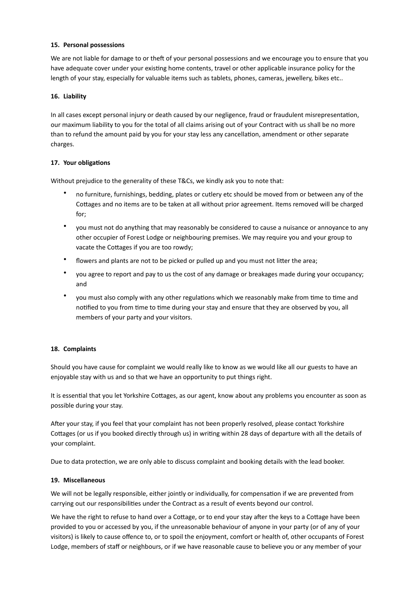### 15. Personal possessions

We are not liable for damage to or theft of your personal possessions and we encourage you to ensure that you have adequate cover under your existing home contents, travel or other applicable insurance policy for the length of your stay, especially for valuable items such as tablets, phones, cameras, jewellery, bikes etc..

### 16. Liability

In all cases except personal injury or death caused by our negligence, fraud or fraudulent misrepresentation, our maximum liability to you for the total of all claims arising out of your Contract with us shall be no more than to refund the amount paid by you for your stay less any cancellation, amendment or other separate charges. 

### **17.** Your obligations

Without prejudice to the generality of these T&Cs, we kindly ask you to note that:

- no furniture, furnishings, bedding, plates or cutlery etc should be moved from or between any of the Cottages and no items are to be taken at all without prior agreement. Items removed will be charged for;
- you must not do anything that may reasonably be considered to cause a nuisance or annoyance to any other occupier of Forest Lodge or neighbouring premises. We may require you and your group to vacate the Cottages if you are too rowdy;
- flowers and plants are not to be picked or pulled up and you must not litter the area;
- you agree to report and pay to us the cost of any damage or breakages made during your occupancy; and
- you must also comply with any other regulations which we reasonably make from time to time and notified to you from time to time during your stay and ensure that they are observed by you, all members of your party and your visitors.

### 18. Complaints

Should you have cause for complaint we would really like to know as we would like all our guests to have an enjoyable stay with us and so that we have an opportunity to put things right.

It is essential that you let Yorkshire Cottages, as our agent, know about any problems you encounter as soon as possible during your stay.

After your stay, if you feel that your complaint has not been properly resolved, please contact Yorkshire Cottages (or us if you booked directly through us) in writing within 28 days of departure with all the details of your complaint.

Due to data protection, we are only able to discuss complaint and booking details with the lead booker.

### **19. Miscellaneous**

We will not be legally responsible, either jointly or individually, for compensation if we are prevented from carrying out our responsibilities under the Contract as a result of events beyond our control.

We have the right to refuse to hand over a Cottage, or to end your stay after the keys to a Cottage have been provided to you or accessed by you, if the unreasonable behaviour of anyone in your party (or of any of your visitors) is likely to cause offence to, or to spoil the enjoyment, comfort or health of, other occupants of Forest Lodge, members of staff or neighbours, or if we have reasonable cause to believe you or any member of your